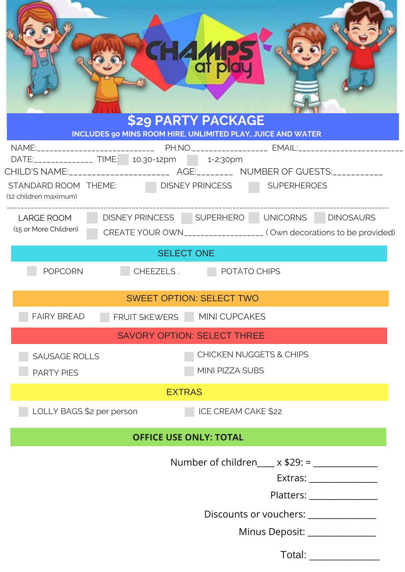| <b>TH</b>                                                                                                      | <b>LAN</b><br>af pl<br><b>\$29 PARTY PACKAGE</b>                                  |  |  |
|----------------------------------------------------------------------------------------------------------------|-----------------------------------------------------------------------------------|--|--|
|                                                                                                                | INCLUDES 90 MINS ROOM HIRE, UNLIMITED PLAY, JUICE AND WATER                       |  |  |
| DATE:_______________ TIME:   10.30-12pm   1-2:30pm                                                             |                                                                                   |  |  |
| STANDARD ROOM THEME: DISNEY PRINCESS SUPERHEROES<br>(12 children maximum)                                      | CHILD'S NAME:_________________________ AGE:__________ NUMBER OF GUESTS:__________ |  |  |
| LARGE ROOM                                                                                                     | DISNEY PRINCESS SUPERHERO UNICORNS DINOSAURS                                      |  |  |
| (15 or More Children)                                                                                          | CREATE YOUR OWN___________________ (Own decorations to be provided)               |  |  |
| <b>SELECT ONE</b>                                                                                              |                                                                                   |  |  |
| <b>POPCORN</b>                                                                                                 | CHEEZELS. POTATO CHIPS                                                            |  |  |
| <b>SWEET OPTION: SELECT TWO</b>                                                                                |                                                                                   |  |  |
| FRUIT SKEWERS MINI CUPCAKES<br><b>FAIRY BREAD</b>                                                              |                                                                                   |  |  |
| <b>SAVORY OPTION: SELECT THREE</b>                                                                             |                                                                                   |  |  |
| <b>SAUSAGE ROLLS</b>                                                                                           | <b>CHICKEN NUGGETS &amp; CHIPS</b>                                                |  |  |
| <b>PARTY PIES</b>                                                                                              | MINI PIZZA SUBS                                                                   |  |  |
| <b>EXTRAS</b>                                                                                                  |                                                                                   |  |  |
| LOLLY BAGS \$2 per person<br>ICE CREAM CAKE \$22                                                               |                                                                                   |  |  |
| <b>OFFICE USE ONLY: TOTAL</b>                                                                                  |                                                                                   |  |  |
| Number of children____ x \$29: = _____________                                                                 |                                                                                   |  |  |
|                                                                                                                |                                                                                   |  |  |
| Platters: Note and the set of the set of the set of the set of the set of the set of the set of the set of the |                                                                                   |  |  |
| Discounts or vouchers: ______________                                                                          |                                                                                   |  |  |
| Minus Deposit: _______________                                                                                 |                                                                                   |  |  |
| Total: ___________                                                                                             |                                                                                   |  |  |
|                                                                                                                |                                                                                   |  |  |